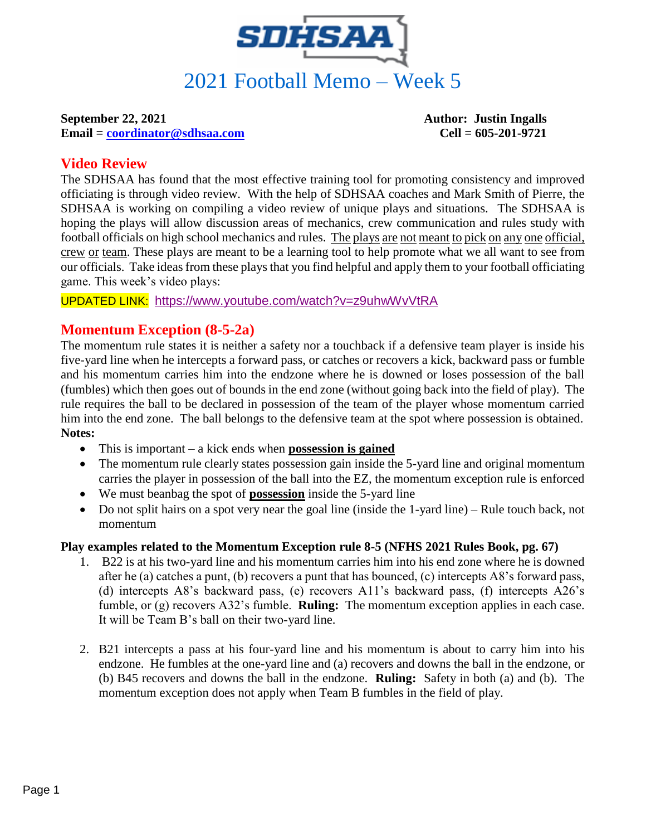

**Email = [coordinator@sdhsaa.com](mailto:coordinator@sdhsaa.com) Cell = 605-201-9721**

**September 22, 2021 Author: Justin Ingalls**

# **Video Review**

The SDHSAA has found that the most effective training tool for promoting consistency and improved officiating is through video review. With the help of SDHSAA coaches and Mark Smith of Pierre, the SDHSAA is working on compiling a video review of unique plays and situations. The SDHSAA is hoping the plays will allow discussion areas of mechanics, crew communication and rules study with football officials on high school mechanics and rules. The plays are not meant to pick on any one official, crew or team. These plays are meant to be a learning tool to help promote what we all want to see from our officials. Take ideas from these plays that you find helpful and apply them to your football officiating game. This week's video plays:

UPDATED LINK: <https://www.youtube.com/watch?v=z9uhwWvVtRA>

# **Momentum Exception (8-5-2a)**

The momentum rule states it is neither a safety nor a touchback if a defensive team player is inside his five-yard line when he intercepts a forward pass, or catches or recovers a kick, backward pass or fumble and his momentum carries him into the endzone where he is downed or loses possession of the ball (fumbles) which then goes out of bounds in the end zone (without going back into the field of play). The rule requires the ball to be declared in possession of the team of the player whose momentum carried him into the end zone. The ball belongs to the defensive team at the spot where possession is obtained. **Notes:**

- This is important a kick ends when **possession is gained**
- The momentum rule clearly states possession gain inside the 5-yard line and original momentum carries the player in possession of the ball into the EZ, the momentum exception rule is enforced
- We must beanbag the spot of **possession** inside the 5-yard line
- Do not split hairs on a spot very near the goal line (inside the 1-yard line) Rule touch back, not momentum

# **Play examples related to the Momentum Exception rule 8-5 (NFHS 2021 Rules Book, pg. 67)**

- 1. B22 is at his two-yard line and his momentum carries him into his end zone where he is downed after he (a) catches a punt, (b) recovers a punt that has bounced, (c) intercepts A8's forward pass, (d) intercepts A8's backward pass, (e) recovers A11's backward pass, (f) intercepts A26's fumble, or (g) recovers A32's fumble. **Ruling:** The momentum exception applies in each case. It will be Team B's ball on their two-yard line.
- 2. B21 intercepts a pass at his four-yard line and his momentum is about to carry him into his endzone. He fumbles at the one-yard line and (a) recovers and downs the ball in the endzone, or (b) B45 recovers and downs the ball in the endzone. **Ruling:** Safety in both (a) and (b). The momentum exception does not apply when Team B fumbles in the field of play.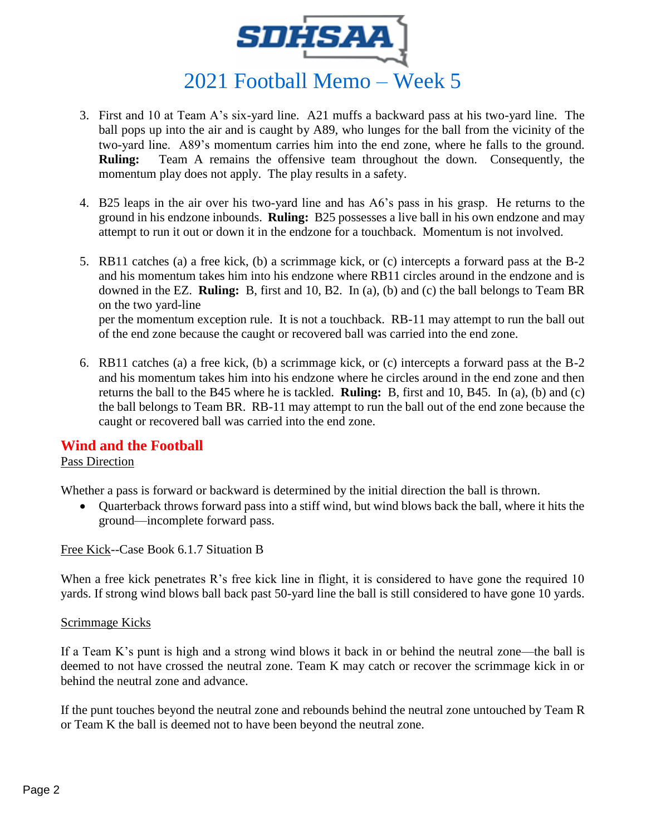

- 3. First and 10 at Team A's six-yard line. A21 muffs a backward pass at his two-yard line. The ball pops up into the air and is caught by A89, who lunges for the ball from the vicinity of the two-yard line. A89's momentum carries him into the end zone, where he falls to the ground. **Ruling:** Team A remains the offensive team throughout the down. Consequently, the momentum play does not apply. The play results in a safety.
- 4. B25 leaps in the air over his two-yard line and has A6's pass in his grasp. He returns to the ground in his endzone inbounds. **Ruling:** B25 possesses a live ball in his own endzone and may attempt to run it out or down it in the endzone for a touchback. Momentum is not involved.
- 5. RB11 catches (a) a free kick, (b) a scrimmage kick, or (c) intercepts a forward pass at the B-2 and his momentum takes him into his endzone where RB11 circles around in the endzone and is downed in the EZ. **Ruling:** B, first and 10, B2. In (a), (b) and (c) the ball belongs to Team BR on the two yard-line per the momentum exception rule. It is not a touchback. RB-11 may attempt to run the ball out of the end zone because the caught or recovered ball was carried into the end zone.
- 6. RB11 catches (a) a free kick, (b) a scrimmage kick, or (c) intercepts a forward pass at the B-2 and his momentum takes him into his endzone where he circles around in the end zone and then returns the ball to the B45 where he is tackled. **Ruling:** B, first and 10, B45.In (a), (b) and (c) the ball belongs to Team BR. RB-11 may attempt to run the ball out of the end zone because the caught or recovered ball was carried into the end zone.

### **Wind and the Football**

#### Pass Direction

Whether a pass is forward or backward is determined by the initial direction the ball is thrown.

• Ouarterback throws forward pass into a stiff wind, but wind blows back the ball, where it hits the ground—incomplete forward pass.

Free Kick--Case Book 6.1.7 Situation B

When a free kick penetrates R's free kick line in flight, it is considered to have gone the required 10 yards. If strong wind blows ball back past 50-yard line the ball is still considered to have gone 10 yards.

#### Scrimmage Kicks

If a Team K's punt is high and a strong wind blows it back in or behind the neutral zone—the ball is deemed to not have crossed the neutral zone. Team K may catch or recover the scrimmage kick in or behind the neutral zone and advance.

If the punt touches beyond the neutral zone and rebounds behind the neutral zone untouched by Team R or Team K the ball is deemed not to have been beyond the neutral zone.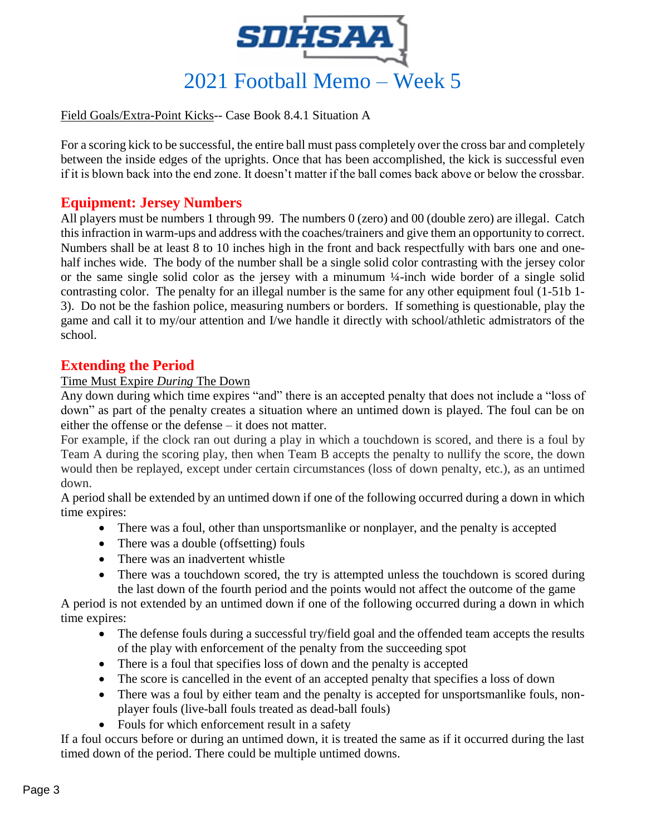

#### Field Goals/Extra-Point Kicks-- Case Book 8.4.1 Situation A

For a scoring kick to be successful, the entire ball must pass completely over the cross bar and completely between the inside edges of the uprights. Once that has been accomplished, the kick is successful even if it is blown back into the end zone. It doesn't matter if the ball comes back above or below the crossbar.

## **Equipment: Jersey Numbers**

All players must be numbers 1 through 99. The numbers 0 (zero) and 00 (double zero) are illegal. Catch this infraction in warm-ups and address with the coaches/trainers and give them an opportunity to correct. Numbers shall be at least 8 to 10 inches high in the front and back respectfully with bars one and onehalf inches wide. The body of the number shall be a single solid color contrasting with the jersey color or the same single solid color as the jersey with a minumum ¼-inch wide border of a single solid contrasting color. The penalty for an illegal number is the same for any other equipment foul (1-51b 1- 3). Do not be the fashion police, measuring numbers or borders. If something is questionable, play the game and call it to my/our attention and I/we handle it directly with school/athletic admistrators of the school.

### **Extending the Period**

#### Time Must Expire *During* The Down

Any down during which time expires "and" there is an accepted penalty that does not include a "loss of down" as part of the penalty creates a situation where an untimed down is played. The foul can be on either the offense or the defense – it does not matter.

For example, if the clock ran out during a play in which a touchdown is scored, and there is a foul by Team A during the scoring play, then when Team B accepts the penalty to nullify the score, the down would then be replayed, except under certain circumstances (loss of down penalty, etc.), as an untimed down.

A period shall be extended by an untimed down if one of the following occurred during a down in which time expires:

- There was a foul, other than unsportsmanlike or nonplayer, and the penalty is accepted
- There was a double (offsetting) fouls
- There was an inadvertent whistle
- There was a touchdown scored, the try is attempted unless the touchdown is scored during the last down of the fourth period and the points would not affect the outcome of the game

A period is not extended by an untimed down if one of the following occurred during a down in which time expires:

- The defense fouls during a successful try/field goal and the offended team accepts the results of the play with enforcement of the penalty from the succeeding spot
- There is a foul that specifies loss of down and the penalty is accepted
- The score is cancelled in the event of an accepted penalty that specifies a loss of down
- There was a foul by either team and the penalty is accepted for unsportsmanlike fouls, nonplayer fouls (live-ball fouls treated as dead-ball fouls)
- Fouls for which enforcement result in a safety

If a foul occurs before or during an untimed down, it is treated the same as if it occurred during the last timed down of the period. There could be multiple untimed downs.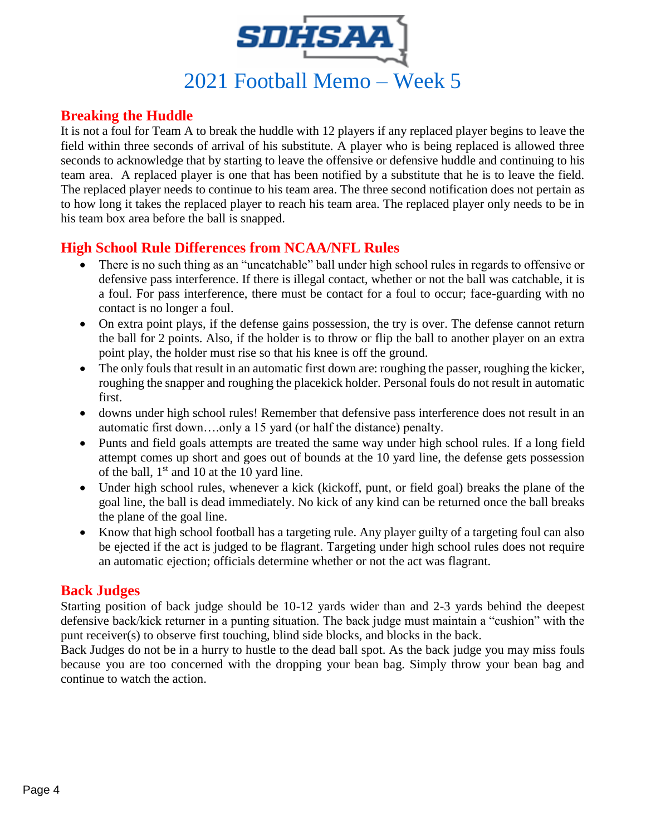

# **Breaking the Huddle**

It is not a foul for Team A to break the huddle with 12 players if any replaced player begins to leave the field within three seconds of arrival of his substitute. A player who is being replaced is allowed three seconds to acknowledge that by starting to leave the offensive or defensive huddle and continuing to his team area. A replaced player is one that has been notified by a substitute that he is to leave the field. The replaced player needs to continue to his team area. The three second notification does not pertain as to how long it takes the replaced player to reach his team area. The replaced player only needs to be in his team box area before the ball is snapped.

# **High School Rule Differences from NCAA/NFL Rules**

- There is no such thing as an "uncatchable" ball under high school rules in regards to offensive or defensive pass interference. If there is illegal contact, whether or not the ball was catchable, it is a foul. For pass interference, there must be contact for a foul to occur; face-guarding with no contact is no longer a foul.
- On extra point plays, if the defense gains possession, the try is over. The defense cannot return the ball for 2 points. Also, if the holder is to throw or flip the ball to another player on an extra point play, the holder must rise so that his knee is off the ground.
- The only fouls that result in an automatic first down are: roughing the passer, roughing the kicker, roughing the snapper and roughing the placekick holder. Personal fouls do not result in automatic first.
- downs under high school rules! Remember that defensive pass interference does not result in an automatic first down….only a 15 yard (or half the distance) penalty.
- Punts and field goals attempts are treated the same way under high school rules. If a long field attempt comes up short and goes out of bounds at the 10 yard line, the defense gets possession of the ball,  $1<sup>st</sup>$  and 10 at the 10 yard line.
- Under high school rules, whenever a kick (kickoff, punt, or field goal) breaks the plane of the goal line, the ball is dead immediately. No kick of any kind can be returned once the ball breaks the plane of the goal line.
- Know that high school football has a targeting rule. Any player guilty of a targeting foul can also be ejected if the act is judged to be flagrant. Targeting under high school rules does not require an automatic ejection; officials determine whether or not the act was flagrant.

# **Back Judges**

Starting position of back judge should be 10-12 yards wider than and 2-3 yards behind the deepest defensive back/kick returner in a punting situation. The back judge must maintain a "cushion" with the punt receiver(s) to observe first touching, blind side blocks, and blocks in the back.

Back Judges do not be in a hurry to hustle to the dead ball spot. As the back judge you may miss fouls because you are too concerned with the dropping your bean bag. Simply throw your bean bag and continue to watch the action.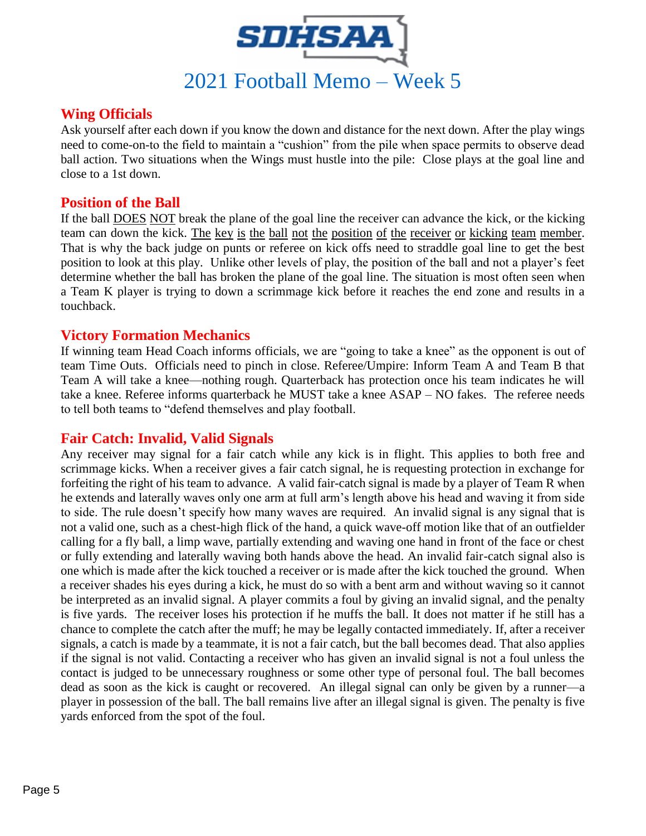

# **Wing Officials**

Ask yourself after each down if you know the down and distance for the next down. After the play wings need to come-on-to the field to maintain a "cushion" from the pile when space permits to observe dead ball action. Two situations when the Wings must hustle into the pile: Close plays at the goal line and close to a 1st down.

### **Position of the Ball**

If the ball DOES NOT break the plane of the goal line the receiver can advance the kick, or the kicking team can down the kick. The key is the ball not the position of the receiver or kicking team member. That is why the back judge on punts or referee on kick offs need to straddle goal line to get the best position to look at this play. Unlike other levels of play, the position of the ball and not a player's feet determine whether the ball has broken the plane of the goal line. The situation is most often seen when a Team K player is trying to down a scrimmage kick before it reaches the end zone and results in a touchback.

#### **Victory Formation Mechanics**

If winning team Head Coach informs officials, we are "going to take a knee" as the opponent is out of team Time Outs. Officials need to pinch in close. Referee/Umpire: Inform Team A and Team B that Team A will take a knee—nothing rough. Quarterback has protection once his team indicates he will take a knee. Referee informs quarterback he MUST take a knee ASAP – NO fakes. The referee needs to tell both teams to "defend themselves and play football.

### **Fair Catch: Invalid, Valid Signals**

Any receiver may signal for a fair catch while any kick is in flight. This applies to both free and scrimmage kicks. When a receiver gives a fair catch signal, he is requesting protection in exchange for forfeiting the right of his team to advance. A valid fair-catch signal is made by a player of Team R when he extends and laterally waves only one arm at full arm's length above his head and waving it from side to side. The rule doesn't specify how many waves are required. An invalid signal is any signal that is not a valid one, such as a chest-high flick of the hand, a quick wave-off motion like that of an outfielder calling for a fly ball, a limp wave, partially extending and waving one hand in front of the face or chest or fully extending and laterally waving both hands above the head. An invalid fair-catch signal also is one which is made after the kick touched a receiver or is made after the kick touched the ground. When a receiver shades his eyes during a kick, he must do so with a bent arm and without waving so it cannot be interpreted as an invalid signal. A player commits a foul by giving an invalid signal, and the penalty is five yards. The receiver loses his protection if he muffs the ball. It does not matter if he still has a chance to complete the catch after the muff; he may be legally contacted immediately. If, after a receiver signals, a catch is made by a teammate, it is not a fair catch, but the ball becomes dead. That also applies if the signal is not valid. Contacting a receiver who has given an invalid signal is not a foul unless the contact is judged to be unnecessary roughness or some other type of personal foul. The ball becomes dead as soon as the kick is caught or recovered. An illegal signal can only be given by a runner—a player in possession of the ball. The ball remains live after an illegal signal is given. The penalty is five yards enforced from the spot of the foul.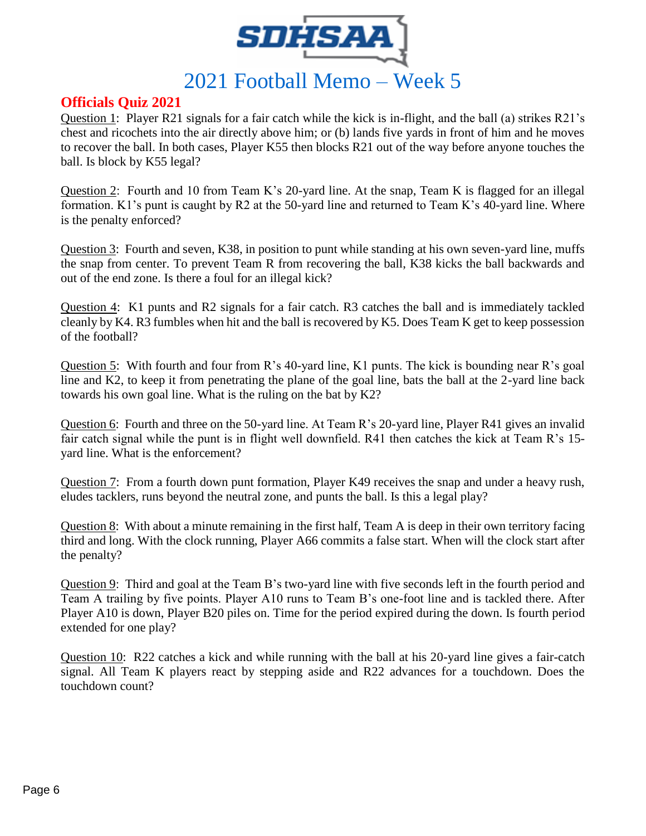

# **Officials Quiz 2021**

Question 1: Player R21 signals for a fair catch while the kick is in-flight, and the ball (a) strikes R21's chest and ricochets into the air directly above him; or (b) lands five yards in front of him and he moves to recover the ball. In both cases, Player K55 then blocks R21 out of the way before anyone touches the ball. Is block by K55 legal?

Question 2: Fourth and 10 from Team K's 20-yard line. At the snap, Team K is flagged for an illegal formation. K1's punt is caught by R2 at the 50-yard line and returned to Team K's 40-yard line. Where is the penalty enforced?

Question 3: Fourth and seven, K38, in position to punt while standing at his own seven-yard line, muffs the snap from center. To prevent Team R from recovering the ball, K38 kicks the ball backwards and out of the end zone. Is there a foul for an illegal kick?

Question 4: K1 punts and R2 signals for a fair catch. R3 catches the ball and is immediately tackled cleanly by K4. R3 fumbles when hit and the ball is recovered by K5. Does Team K get to keep possession of the football?

Question 5: With fourth and four from R's 40-yard line, K1 punts. The kick is bounding near R's goal line and K2, to keep it from penetrating the plane of the goal line, bats the ball at the 2-yard line back towards his own goal line. What is the ruling on the bat by K2?

Question 6: Fourth and three on the 50-yard line. At Team R's 20-yard line, Player R41 gives an invalid fair catch signal while the punt is in flight well downfield. R41 then catches the kick at Team R's 15 yard line. What is the enforcement?

Question 7: From a fourth down punt formation, Player K49 receives the snap and under a heavy rush, eludes tacklers, runs beyond the neutral zone, and punts the ball. Is this a legal play?

Question 8: With about a minute remaining in the first half, Team A is deep in their own territory facing third and long. With the clock running, Player A66 commits a false start. When will the clock start after the penalty?

Question 9: Third and goal at the Team B's two-yard line with five seconds left in the fourth period and Team A trailing by five points. Player A10 runs to Team B's one-foot line and is tackled there. After Player A10 is down, Player B20 piles on. Time for the period expired during the down. Is fourth period extended for one play?

Question 10: R22 catches a kick and while running with the ball at his 20-yard line gives a fair-catch signal. All Team K players react by stepping aside and R22 advances for a touchdown. Does the touchdown count?